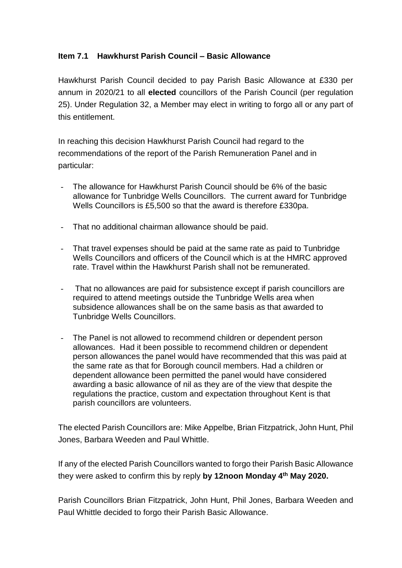## **Item 7.1 Hawkhurst Parish Council – Basic Allowance**

Hawkhurst Parish Council decided to pay Parish Basic Allowance at £330 per annum in 2020/21 to all **elected** councillors of the Parish Council (per regulation 25). Under Regulation 32, a Member may elect in writing to forgo all or any part of this entitlement.

In reaching this decision Hawkhurst Parish Council had regard to the recommendations of the report of the Parish Remuneration Panel and in particular:

- The allowance for Hawkhurst Parish Council should be 6% of the basic allowance for Tunbridge Wells Councillors. The current award for Tunbridge Wells Councillors is £5,500 so that the award is therefore £330pa.
- That no additional chairman allowance should be paid.
- That travel expenses should be paid at the same rate as paid to Tunbridge Wells Councillors and officers of the Council which is at the HMRC approved rate. Travel within the Hawkhurst Parish shall not be remunerated.
- That no allowances are paid for subsistence except if parish councillors are required to attend meetings outside the Tunbridge Wells area when subsidence allowances shall be on the same basis as that awarded to Tunbridge Wells Councillors.
- The Panel is not allowed to recommend children or dependent person allowances. Had it been possible to recommend children or dependent person allowances the panel would have recommended that this was paid at the same rate as that for Borough council members. Had a children or dependent allowance been permitted the panel would have considered awarding a basic allowance of nil as they are of the view that despite the regulations the practice, custom and expectation throughout Kent is that parish councillors are volunteers.

The elected Parish Councillors are: Mike Appelbe, Brian Fitzpatrick, John Hunt, Phil Jones, Barbara Weeden and Paul Whittle.

If any of the elected Parish Councillors wanted to forgo their Parish Basic Allowance they were asked to confirm this by reply **by 12noon Monday 4th May 2020.**

Parish Councillors Brian Fitzpatrick, John Hunt, Phil Jones, Barbara Weeden and Paul Whittle decided to forgo their Parish Basic Allowance.